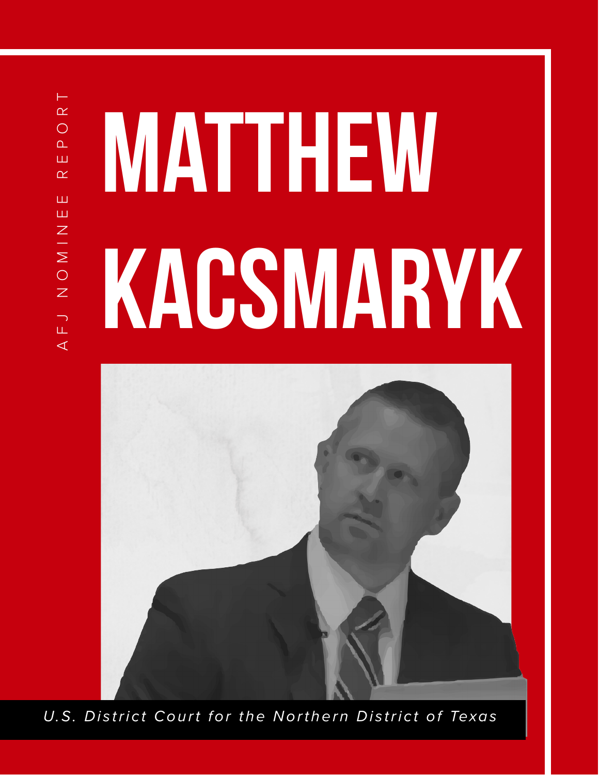⊢ AFJ NOMINEE REPORT  $\overline{\alpha}$  $\bigcirc$  $\overline{\mathbf{r}}$ Ш  $\alpha$ Ш Ш  $\mathsf Z$  $\frac{1}{2}$  $\overline{O}$  $\overline{z}$  $\begin{array}{c}\n\hline\n\end{array}$  $\triangleleft$ 

# MATTHEW kacsmaryk



*U.S. District Court for the Northern District of Texas*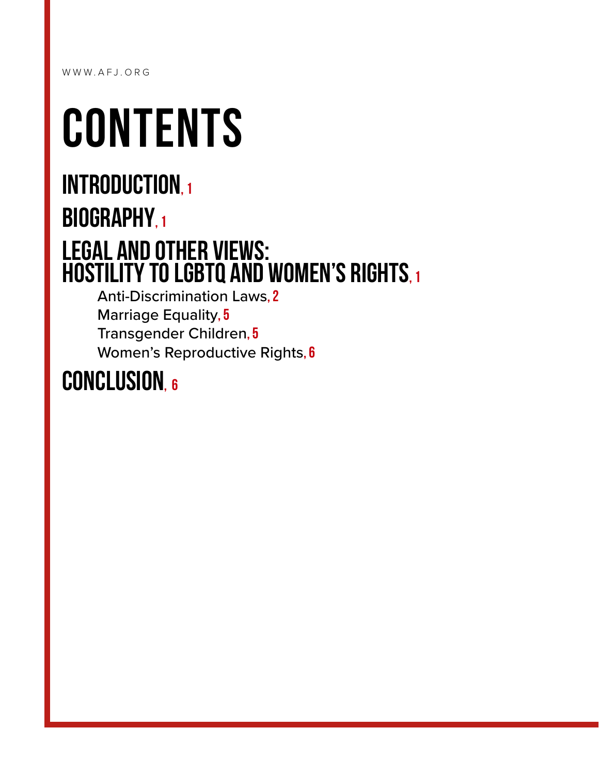WWW.AFJ.ORG

## **CONTENTS**

## INTRODUCTION, 1 BIOGRAPHY, 1 [Legal and Other Views:](#page-2-2)  [Hostility to LGBTQ and Women's Rights, 1](#page-2-2)

[Anti-Discrimination Laws](#page-3-0), 2 [Marriage Equality](#page-6-0), 5 [Transgender Children](#page-6-1), 5 Women's Reproductive Rights, 6

### CONCLUSION, 6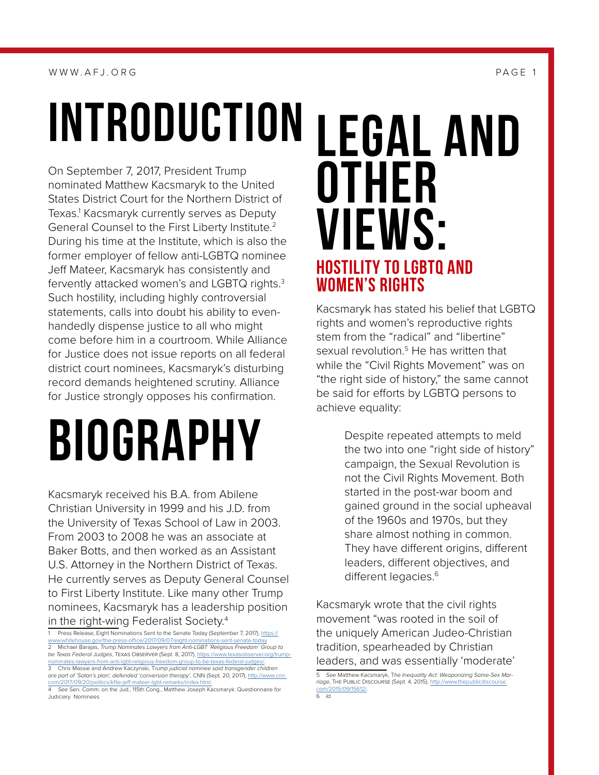#### WWW.AFJ.ORG PAGE 1

<span id="page-2-0"></span>INTRODUCTION

On September 7, 2017, President Trump nominated Matthew Kacsmaryk to the United States District Court for the Northern District of Texas.1 Kacsmaryk currently serves as Deputy General Counsel to the First Liberty Institute.<sup>2</sup> During his time at the Institute, which is also the former employer of fellow anti-LGBTQ nominee Jeff Mateer, Kacsmaryk has consistently and fervently attacked women's and LGBTQ rights.3 Such hostility, including highly controversial statements, calls into doubt his ability to evenhandedly dispense justice to all who might come before him in a courtroom. While Alliance for Justice does not issue reports on all federal district court nominees, Kacsmaryk's disturbing record demands heightened scrutiny. Alliance for Justice strongly opposes his confirmation.

# <span id="page-2-1"></span>Biography

Kacsmaryk received his B.A. from Abilene Christian University in 1999 and his J.D. from the University of Texas School of Law in 2003. From 2003 to 2008 he was an associate at Baker Botts, and then worked as an Assistant U.S. Attorney in the Northern District of Texas. He currently serves as Deputy General Counsel to First Liberty Institute. Like many other Trump nominees, Kacsmaryk has a leadership position in the right-wing Federalist Society.4

## <span id="page-2-2"></span>Legal and **OTHER** Views: HOSTILITY TO LGBTQ AND WOMEN'S RIGHTS

Kacsmaryk has stated his belief that LGBTQ rights and women's reproductive rights stem from the "radical" and "libertine" sexual revolution.<sup>5</sup> He has written that while the "Civil Rights Movement" was on "the right side of history," the same cannot be said for efforts by LGBTQ persons to achieve equality:

> Despite repeated attempts to meld the two into one "right side of history" campaign, the Sexual Revolution is not the Civil Rights Movement. Both started in the post-war boom and gained ground in the social upheaval of the 1960s and 1970s, but they share almost nothing in common. They have different origins, different leaders, different objectives, and different legacies.<sup>6</sup>

Kacsmaryk wrote that the civil rights movement "was rooted in the soil of the uniquely American Judeo-Christian tradition, spearheaded by Christian leaders, and was essentially 'moderate'

5 *See* Matthew Kacsmaryk, T*he Inequality Act: Weaponizing Same-Sex Mar*riage, THE PUBLIC DISCOURSE (Sept. 4, 2015), http://www.thepublicdisco [com/2015/09/15612/](http://www.thepublicdiscourse.com/2015/09/15612/). 6 *Id.*

Press Release, Eight Nominations Sent to the Senate Today (September 7, 2017), [https://](https://www.whitehouse.gov/the-press-office/2017/09/07/eight-nominations-sent-senate-today)<br>w.whitehouse.gov/the-press-office/2017/09/07/eight-nominations-sent-senate-today ne-press-office/2017/09/07/eight-nomi 2 Michael Barajas, *Trump Nominates Lawyers from Anti-LGBT 'Religious Freedom' Group to be Texas Federal Judges*, Texas Observer (Sept. 8, 2017), [https://www.texasobserver.org/trump-](https://www.texasobserver.org/trump-nominates-lawyers-from-anti-lgbt-religious-freedom-group-to-be-texas-federal-judges/)

[nominates-lawyers-from-anti-lgbt-religious-freedom-group-to-be-texas-federal-judges/](https://www.texasobserver.org/trump-nominates-lawyers-from-anti-lgbt-religious-freedom-group-to-be-texas-federal-judges/). 3 Chris Massie and Andrew Kaczynski, T*rump judicial nominee said transgender children* 

*are part of 'Satan's plan', defended 'conversion therapy'*, CNN (Sept. 20, 2017), [http://www.cnn.](http://www.cnn.com/2017/09/20/politics/kfile-jeff-mateer-lgbt-remarks/index.html.) [com/2017/09/20/politics/kfile-jeff-mateer-lgbt-remarks/index.html.](http://www.cnn.com/2017/09/20/politics/kfile-jeff-mateer-lgbt-remarks/index.html.) 4 *See* Sen. Comm. on the Jud., 115th Cong., Matthew Joseph Kacsmaryk: Questionnaire for

Judiciary Nominees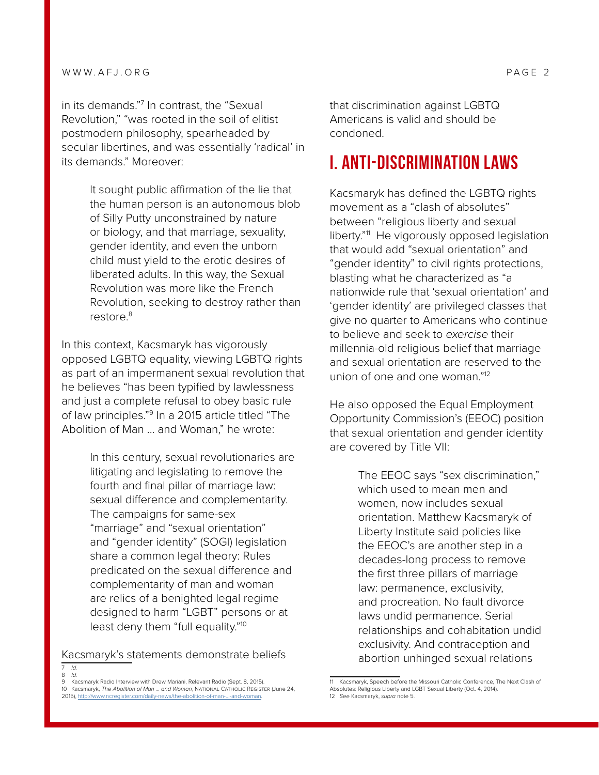in its demands."7 In contrast, the "Sexual Revolution," "was rooted in the soil of elitist postmodern philosophy, spearheaded by secular libertines, and was essentially 'radical' in its demands." Moreover:

> It sought public affirmation of the lie that the human person is an autonomous blob of Silly Putty unconstrained by nature or biology, and that marriage, sexuality, gender identity, and even the unborn child must yield to the erotic desires of liberated adults. In this way, the Sexual Revolution was more like the French Revolution, seeking to destroy rather than restore.<sup>8</sup>

In this context, Kacsmaryk has vigorously opposed LGBTQ equality, viewing LGBTQ rights as part of an impermanent sexual revolution that he believes "has been typified by lawlessness and just a complete refusal to obey basic rule of law principles."<sup>9</sup> In a 2015 article titled "The Abolition of Man … and Woman," he wrote:

> In this century, sexual revolutionaries are litigating and legislating to remove the fourth and final pillar of marriage law: sexual difference and complementarity. The campaigns for same-sex "marriage" and "sexual orientation" and "gender identity" (SOGI) legislation share a common legal theory: Rules predicated on the sexual difference and complementarity of man and woman are relics of a benighted legal regime designed to harm "LGBT" persons or at least deny them "full equality."10

Kacsmaryk's statements demonstrate beliefs

9 Kacsmaryk Radio Interview with Drew Mariani, Relevant Radio (Sept. 8, 2015).

that discrimination against LGBTQ Americans is valid and should be condoned.

#### <span id="page-3-0"></span>I. ANTI-DISCRIMINATION LAWS

Kacsmaryk has defined the LGBTQ rights movement as a "clash of absolutes" between "religious liberty and sexual liberty."11 He vigorously opposed legislation that would add "sexual orientation" and "gender identity" to civil rights protections, blasting what he characterized as "a nationwide rule that 'sexual orientation' and 'gender identity' are privileged classes that give no quarter to Americans who continue to believe and seek to *exercise* their millennia-old religious belief that marriage and sexual orientation are reserved to the union of one and one woman."12

He also opposed the Equal Employment Opportunity Commission's (EEOC) position that sexual orientation and gender identity are covered by Title VII:

> The EEOC says "sex discrimination," which used to mean men and women, now includes sexual orientation. Matthew Kacsmaryk of Liberty Institute said policies like the EEOC's are another step in a decades-long process to remove the first three pillars of marriage law: permanence, exclusivity, and procreation. No fault divorce laws undid permanence. Serial relationships and cohabitation undid exclusivity. And contraception and abortion unhinged sexual relations

<sup>7</sup> *Id.* 8 *Id.*

<sup>10</sup> Kacsmaryk, *The Abolition of Man … and Woman*, National Catholic Register (June 24, 2015), [http://www.ncregister.com/daily-news/the-abolition-of-man-...-and-woman.](http://www.ncregister.com/daily-news/the-abolition-of-man-...-and-woman)

<sup>11</sup> Kacsmaryk, Speech before the Missouri Catholic Conference, The Next Clash of Absolutes: Religious Liberty and LGBT Sexual Liberty (Oct. 4, 2014). 12 *See* Kacsmaryk, *supra* note 5.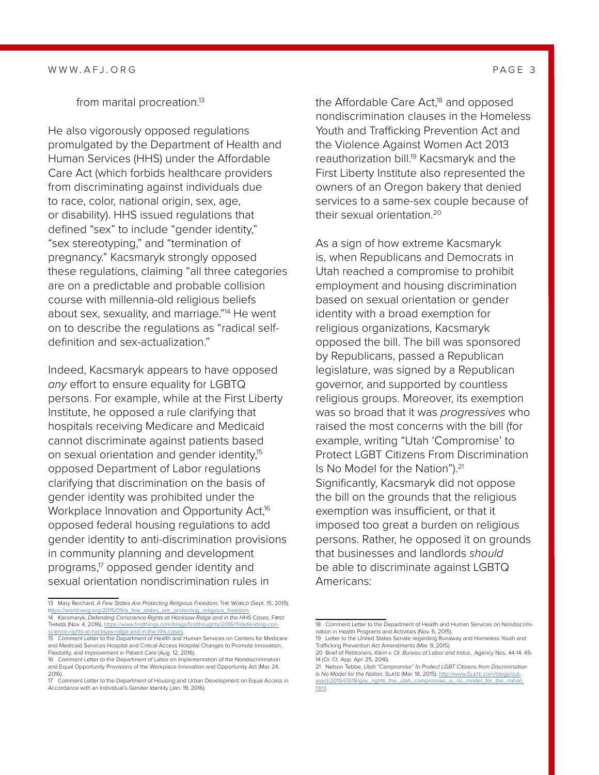from marital procreation.<sup>13</sup>

He also vigorously opposed regulations promulgated by the Department of Health and Human Services (HHS) under the Affordable Care Act (which forbids healthcare providers from discriminating against individuals due to race, color, national origin, sex, age, or disability). HHS issued regulations that defined "sex" to include "gender identity," "sex stereotyping," and "termination of pregnancy." Kacsmaryk strongly opposed these regulations, claiming "all three categories are on a predictable and probable collision course with millennia-old religious beliefs about sex, sexuality, and marriage."14 He went on to describe the regulations as "radical selfdefinition and sex-actualization."

Indeed, Kacsmaryk appears to have opposed *any* effort to ensure equality for LGBTQ persons. For example, while at the First Liberty Institute, he opposed a rule clarifying that hospitals receiving Medicare and Medicaid cannot discriminate against patients based on sexual orientation and gender identity,<sup>15</sup> opposed Department of Labor regulations clarifying that discrimination on the basis of gender identity was prohibited under the Workplace Innovation and Opportunity Act,<sup>16</sup> opposed federal housing regulations to add gender identity to anti-discrimination provisions in community planning and development programs,17 opposed gender identity and sexual orientation nondiscrimination rules in

the Affordable Care  $Act<sub>18</sub>$  and opposed nondiscrimination clauses in the Homeless Youth and Trafficking Prevention Act and the Violence Against Women Act 2013 reauthorization bill.<sup>19</sup> Kacsmaryk and the First Liberty Institute also represented the owners of an Oregon bakery that denied services to a same-sex couple because of their sexual orientation.20

As a sign of how extreme Kacsmaryk is, when Republicans and Democrats in Utah reached a compromise to prohibit employment and housing discrimination based on sexual orientation or gender identity with a broad exemption for religious organizations, Kacsmaryk opposed the bill. The bill was sponsored by Republicans, passed a Republican legislature, was signed by a Republican governor, and supported by countless religious groups. Moreover, its exemption was so broad that it was *progressives* who raised the most concerns with the bill (for example, writing "Utah 'Compromise' to Protect LGBT Citizens From Discrimination Is No Model for the Nation").<sup>21</sup> Significantly, Kacsmaryk did not oppose the bill on the grounds that the religious exemption was insufficient, or that it imposed too great a burden on religious persons. Rather, he opposed it on grounds that businesses and landlords *should* be able to discriminate against LGBTQ Americans:

<sup>13</sup> Mary Reichard, *A Few States Are Protecting Religious Freedom*, THE WORLD (Sept. 15, 2015), [https://world.wng.org/2015/09/a\\_few\\_states\\_are\\_protecting\\_religious\\_freedom](ttps://world.wng.org/2015/09/a_few_states_are_protecting_religious_freedom).

<sup>14</sup> Kacsmaryk, *Defending Conscience Rights at Hacksaw Ridge and in the HHS Cases*, First Things (Nov. 4, 2016), [https://www.firstthings.com/blogs/firstthoughts/2016/11/defending-con](https://www.firstthings.com/blogs/firstthoughts/2016/11/defending-conscience-rights-at-hacksaw-ridge-and-in-the-hhs-cases)[science-rights-at-hacksaw-ridge-and-in-the-hhs-cases](https://www.firstthings.com/blogs/firstthoughts/2016/11/defending-conscience-rights-at-hacksaw-ridge-and-in-the-hhs-cases).<br>15 Comment Letter to the Department of Health and Human Services on Centers for Medicare

and Medicaid Services Hospital and Critical Access Hospital Changes to Promote Innovation, Flexibility, and Improvement in Patient Care (Aug. 12, 2016).

<sup>16</sup> Comment Letter to the Department of Labor on Implementation of the Nondiscrimination and Equal Opportunity Provisions of the Workplace Innovation and Opportunity Act (Mar. 24, 2016).

<sup>17</sup> Comment Letter to the Department of Housing and Urban Development on Equal Access in Accordance with an Individual's Gender Identity (Jan. 19, 2016).

<sup>18</sup> Comment Letter to the Department of Health and Human Services on Nondiscrimination in Health Programs and Activities (Nov. 6, 2015). 19 Letter to the United States Senate regarding Runaway and Homeless Youth and

Trafficking Prevention Act Amendments (Mar. 9, 2015). 20 Brief of Petitioners, *Klein v. Or. Bureau of Labor and Indus.,* Agency Nos. 44-14. 45-

<sup>14 (</sup>Or. Ct. App. Apr. 25, 2016). 21 Nelson Tebbe, *Utah "Compromise" to Protect LGBT Citizens from Discrimination* 

*Is No Model for the Nation*, Slate (Mar. 18, 2015), [http://www.Slate.com/blogs/out](http://www.Slate.com/blogs/outward/2015/03/18/gay_rights_the_utah_compromise_is_no_model_for_the_nation.html)[ward/2015/03/18/gay\\_rights\\_the\\_utah\\_compromise\\_is\\_no\\_model\\_for\\_the\\_nation.](http://www.Slate.com/blogs/outward/2015/03/18/gay_rights_the_utah_compromise_is_no_model_for_the_nation.html) [html.](http://www.Slate.com/blogs/outward/2015/03/18/gay_rights_the_utah_compromise_is_no_model_for_the_nation.html)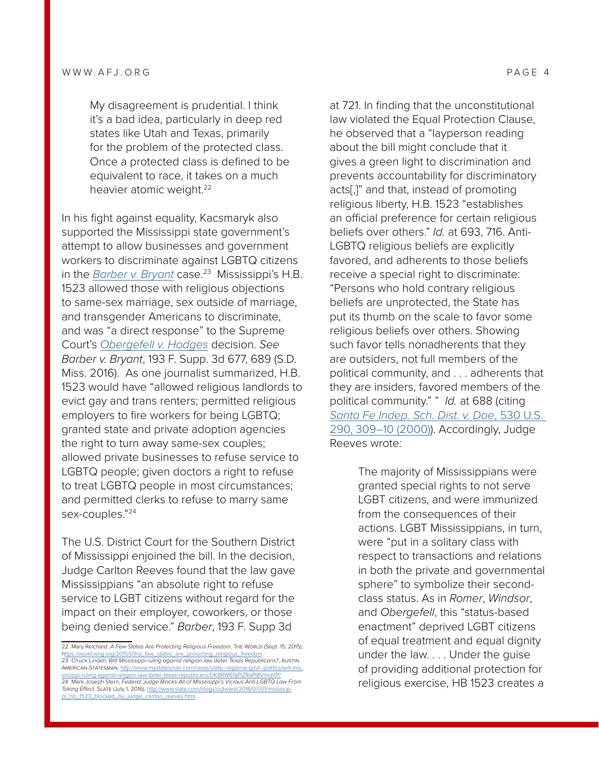My disagreement is prudential. I think it's a bad idea, particularly in deep red states like Utah and Texas, primarily for the problem of the protected class. Once a protected class is defined to be equivalent to race, it takes on a much heavier atomic weight.<sup>22</sup>

In his fight against equality, Kacsmaryk also supported the Mississippi state government's attempt to allow businesses and government workers to discriminate against LGBTQ citizens in the *[Barber v. Bryant](https://scholar.google.com/scholar_case?case=12407311918863813625&q=193+F.+Supp.+3d+677&hl=en&as_sdt=20006)* case.<sup>23</sup> Mississippi's H.B. 1523 allowed those with religious objections to same-sex marriage, sex outside of marriage, and transgender Americans to discriminate, and was "a direct response" to the Supreme Court's *[Obergefell v. Hodges](https://supreme.justia.com/cases/federal/us/576/14-556/opinion3.html)* decision. *See Barber v. Bryant*[, 193 F. Supp. 3d 677, 689 \(S.D.](https://scholar.google.com/scholar_case?case=12407311918863813625&q=193+F.+Supp.+3d+677&hl=en&as_sdt=20006)  [Miss. 2016\).](https://scholar.google.com/scholar_case?case=12407311918863813625&q=193+F.+Supp.+3d+677&hl=en&as_sdt=20006) As one journalist summarized, H.B. 1523 would have "allowed religious landlords to evict gay and trans renters; permitted religious employers to fire workers for being LGBTQ; granted state and private adoption agencies the right to turn away same-sex couples; allowed private businesses to refuse service to LGBTQ people; given doctors a right to refuse to treat LGBTQ people in most circumstances; and permitted clerks to refuse to marry same sex-couples."24

The U.S. District Court for the Southern District of Mississippi enjoined the bill. In the decision, Judge Carlton Reeves found that the law gave Mississippians "an absolute right to refuse service to LGBT citizens without regard for the impact on their employer, coworkers, or those being denied service." *Barber*, 193 F. Supp 3d

at 721. In finding that the unconstitutional law violated the Equal Protection Clause, he observed that a "layperson reading about the bill might conclude that it gives a green light to discrimination and prevents accountability for discriminatory acts[,]" and that, instead of promoting religious liberty, H.B. 1523 "establishes an official preference for certain religious beliefs over others." *Id.* at 693, 716. Anti-LGBTQ religious beliefs are explicitly favored, and adherents to those beliefs receive a special right to discriminate: "Persons who hold contrary religious beliefs are unprotected, the State has put its thumb on the scale to favor some religious beliefs over others. Showing such favor tells nonadherents that they are outsiders, not full members of the political community, and . . . adherents that they are insiders, favored members of the political community." " *Id.* at 688 (citing *[Santa Fe Indep. Sch. Dist. v. Doe](https://scholar.google.com/scholar_case?case=12285358800364238714&q=530+U.S.+290&hl=en&as_sdt=20006)*, 530 U.S. [290, 309–10 \(2000\)](https://scholar.google.com/scholar_case?case=12285358800364238714&q=530+U.S.+290&hl=en&as_sdt=20006)). Accordingly, Judge Reeves wrote:

> The majority of Mississippians were granted special rights to not serve LGBT citizens, and were immunized from the consequences of their actions. LGBT Mississippians, in turn, were "put in a solitary class with respect to transactions and relations in both the private and governmental sphere" to symbolize their secondclass status. As in *Romer*, *Windsor*, and *Obergefell*, this "status-based enactment" deprived LGBT citizens of equal treatment and equal dignity under the law. . . . Under the guise of providing additional protection for religious exercise, HB 1523 creates a

<sup>22</sup> Mary Reichard, *A Few States Are Protecting Religious Freedom*, The World (Sept. 15, 2015), [https://world.wng.org/2015/09/a\\_few\\_states\\_are\\_protecting\\_religious\\_freedom](ttps://world.wng.org/2015/09/a_few_states_are_protecting_religious_freedom). 23 Chuck Lindell, *Will Mississippi ruling against religion law deter Texas Republicans?*, Austin

American-Statesman, [http://www.mystatesman.com/news/state--regional-govt--politics/will-mis](http://www.mystatesman.com/news/state--regional-govt--politics/will-mississippi-ruling-against-religion-law-deter-texas-republicans/DK8RW69jPlZRaPI8VmojYP/)[sissippi-ruling-against-religion-law-deter-texas-republicans/DK8RW69jPlZRaPI8VmojYP/](http://www.mystatesman.com/news/state--regional-govt--politics/will-mississippi-ruling-against-religion-law-deter-texas-republicans/DK8RW69jPlZRaPI8VmojYP/). 24 Mark Joseph Stern, *Federal Judge Blocks All of Mississippi's Vicious Anti-LGBTQ Law From* 

*Taking Effect*, Slate (July 1, 2016), [http://www.slate.com/blogs/outward/2016/07/01/mississip-](http://www.slate.com/blogs/outward/2016/07/01/mississippi_hb_1523_blocked_by_judge_carlton_reeves.html)1523 blocked by judge carlton reeves.html.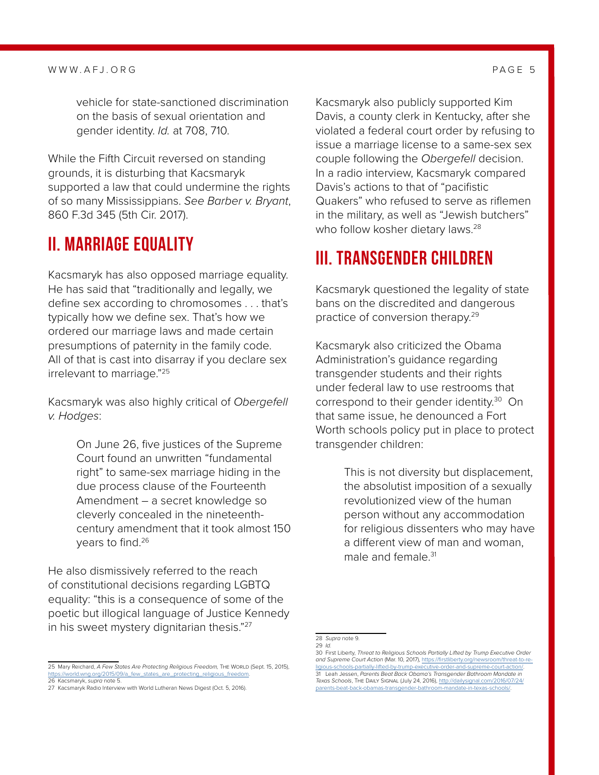#### WWW.AFJ.ORG PAGE 5

vehicle for state-sanctioned discrimination on the basis of sexual orientation and gender identity. *Id.* at 708, 710.

While the Fifth Circuit reversed on standing grounds, it is disturbing that Kacsmaryk supported a law that could undermine the rights of so many Mississippians. *See Barber v. Bryant*, 860 F.3d 345 (5th Cir. 2017).

#### <span id="page-6-0"></span>II. MARRIAGE EQUALITY

Kacsmaryk has also opposed marriage equality. He has said that "traditionally and legally, we define sex according to chromosomes . . . that's typically how we define sex. That's how we ordered our marriage laws and made certain presumptions of paternity in the family code. All of that is cast into disarray if you declare sex irrelevant to marriage."25

Kacsmaryk was also highly critical of *Obergefell v. Hodges*:

> On June 26, five justices of the Supreme Court found an unwritten "fundamental right" to same-sex marriage hiding in the due process clause of the Fourteenth Amendment – a secret knowledge so cleverly concealed in the nineteenthcentury amendment that it took almost 150 years to find.<sup>26</sup>

He also dismissively referred to the reach of constitutional decisions regarding LGBTQ equality: "this is a consequence of some of the poetic but illogical language of Justice Kennedy in his sweet mystery dignitarian thesis."<sup>27</sup>

Kacsmaryk also publicly supported Kim Davis, a county clerk in Kentucky, after she violated a federal court order by refusing to issue a marriage license to a same-sex sex couple following the *Obergefell* decision. In a radio interview, Kacsmaryk compared Davis's actions to that of "pacifistic Quakers" who refused to serve as riflemen in the military, as well as "Jewish butchers" who follow kosher dietary laws.<sup>28</sup>

#### <span id="page-6-1"></span>III. TRANSGENDER CHILDREN

Kacsmaryk questioned the legality of state bans on the discredited and dangerous practice of conversion therapy.<sup>29</sup>

Kacsmaryk also criticized the Obama Administration's guidance regarding transgender students and their rights under federal law to use restrooms that correspond to their gender identity.<sup>30</sup> On that same issue, he denounced a Fort Worth schools policy put in place to protect transgender children:

> This is not diversity but displacement, the absolutist imposition of a sexually revolutionized view of the human person without any accommodation for religious dissenters who may have a different view of man and woman, male and female.<sup>31</sup>

<sup>25</sup> Mary Reichard, *A Few States Are Protecting Religious Freedom,* The World (Sept. 15, 2015), [https://world.wng.org/2015/09/a\\_few\\_states\\_are\\_protecting\\_religious\\_freedom](https://world.wng.org/2015/09/a_few_states_are_protecting_religious_freedom). 26 Kacsmaryk, *supra* note 5.

<sup>27</sup> Kacsmaryk Radio Interview with World Lutheran News Digest (Oct. 5, 2016).

<sup>28</sup> *Supra* note 9. 29 *Id.*

<sup>30</sup> First Liberty, *Threat to Religious Schools Partially Lifted by Trump Executive Order and Supreme Court Action* (Mar. 10, 2017), [https://firstliberty.org/newsroom/threat-to-re](https://firstliberty.org/newsroom/threat-to-religious-schools-partially-lifted-by-trump-executive-order-and-supreme-court-action/)[ligious-schools-partially-lifted-by-trump-executive-order-and-supreme-court-action/.](https://firstliberty.org/newsroom/threat-to-religious-schools-partially-lifted-by-trump-executive-order-and-supreme-court-action/) 31 Leah Jessen, *Parents Beat Back Obama's Transgender Bathroom Mandate in* 

*Texas Schools*, The Daily Signal (July 24, 2016), [http://dailysignal.com/2016/07/24/](http://dailysignal.com/2016/07/24/parents-beat-back-obamas-transgender-bathroom-mandate-in-texas-schools/) ender-bathroom-mandate-in-texas-schools/.